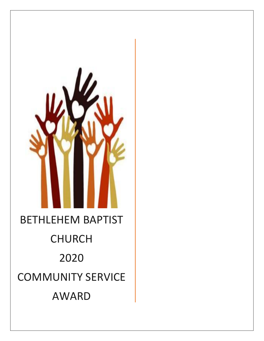# BETHLEHEM BAPTIST CHURCH 2020 COMMUNITY SERVICE AWARD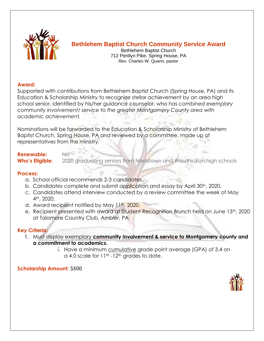

### **Bethlehem Baptist Church Community Service Award**

Bethlehem Baptist Church 712 Penllyn Pike, Spring House, PA Rev. Charles W. Quann, pastor

#### **Award:**

Supported with contributions from Bethlehem Baptist Church (Spring House, PA) and its Education & Scholarship Ministry to recognize stellar achievement by an area high school senior, identified by his/her guidance counselor, who has *combined exemplary community involvement/ service to the greater Montgomery County area with academic achievement.*

Nominations will be forwarded to the Education & Scholarship Ministry of Bethlehem Baptist Church, Spring House, PA and reviewed by a committee, made up of representatives from the ministry.

# **Renewable:** No

**Who's Eligible:** 2020 graduating seniors from Norristown and Wissahickon high schools

#### **Process:**

- a. School official recommends 2-3 candidates.
- b. Candidates complete and submit application and essay by April 30<sup>th</sup>, 2020.
- c. Candidates attend interview conducted by a review committee the week of May 4th, 2020.
- d. Award recipient notified by May 11th, 2020.
- e. Recipient presented with award at Student Recognition Brunch held on June 13<sup>th</sup>, 2020 at Talamore Country Club, Ambler, PA

#### **Key Criteria:**

- f. Must display exemplary **community involvement & service to Montgomery county and a commitment to academics.**
	- i. Have a minimum cumulative grade point average (GPA) of 3.4 on a 4.0 scale for 11<sup>th</sup> -12<sup>th</sup> grades to date.

#### **Scholarship Amount: \$500**

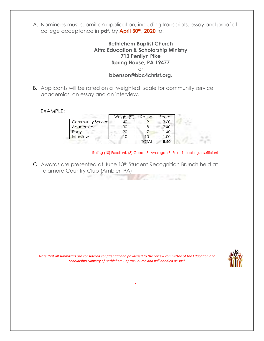A. Nominees must submit an application, including transcripts, essay and proof of college acceptance in **pdf**, by **April 30th, 2020** to:

#### **Bethlehem Baptist Church Attn: Education & Scholarship Ministry 712 Penllyn Pike Spring House, PA 19477** or **bbenson@bbc4christ.org.**

B. Applicants will be rated on a 'weighted' scale for community service, academics, an essay and an interview.

#### EXAMPLE:

|                   | Weight (%) | Rating | Score |
|-------------------|------------|--------|-------|
| Community Service |            |        | 3.60  |
| <b>Academics</b>  | 30         |        | 2.40  |
| Essay             | 20         |        | .40   |
| Interview         |            |        | l.OO  |
|                   |            | OTAI   | 8.40  |

Rating (10) Excellent, (8) Good, (5) Average, (3) Fair, (1) Lacking, insufficient

C. Awards are presented at June 13<sup>th</sup> Student Recognition Brunch held at Talamore Country Club (Ambler, PA)

*Note that all submittals are considered confidential and privileged to the review committee of the Education and Scholarship Ministry of Bethlehem Baptist Church and will handled as such*

*.*

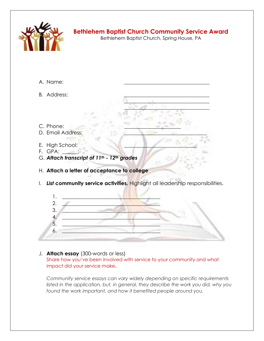

## **Bethlehem Baptist Church Community Service Award**

Bethlehem Baptist Church, Spring House, PA

 $\Box$  where  $\Box$  as  $\Box$  and  $\Box$  $\mathcal{L}=\mathcal{A}$  , where  $\mathcal{L}=\mathcal{L}$ 

- A. Name:
- B. Address:
- C. Phone:
- D. Email Address:
- E. High School:
- F. GPA:
- G. *Attach transcript of 11th - 12th grades*
- H. **Attach a letter of acceptance to college**
- I. *List* **community service activities.** Highlight all leadership responsibilities.



#### J. **Attach essay** (300-words or less) Share how you've been involved with service to your community and what impact did your service make**.**

*Community service essays can vary widely depending on specific requirements listed in the application, but, in general, they describe the work you did, why you found the work important, and how it benefited people around you.*